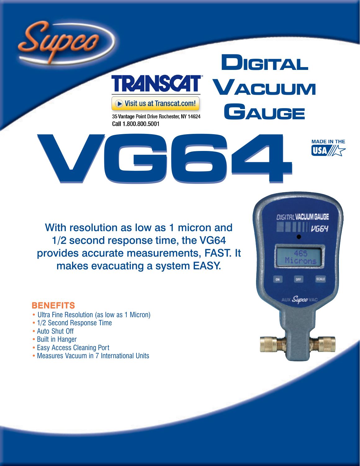

## **DIGITAL TRANSCAT VACUUM** Visit us at Transcat.com! **GAUGE** 35 Vantage Point Drive Rochester, NY 14624

**V[G6](http://www.transcat.com/Catalog/ProductSearch.aspx?SearchType=Keyword&Keyword=9601+PR+VG)4**

Call 1.800.800.5001



#### **BENEFITS**

- Ultra Fine Resolution (as low as 1 Micron)
- 1/2 Second Response Time
- Auto Shut Off
- Built in Hanger
- Easy Access Cleaning Port
- Measures Vacuum in 7 International Units



**MADE IN THE** USA/